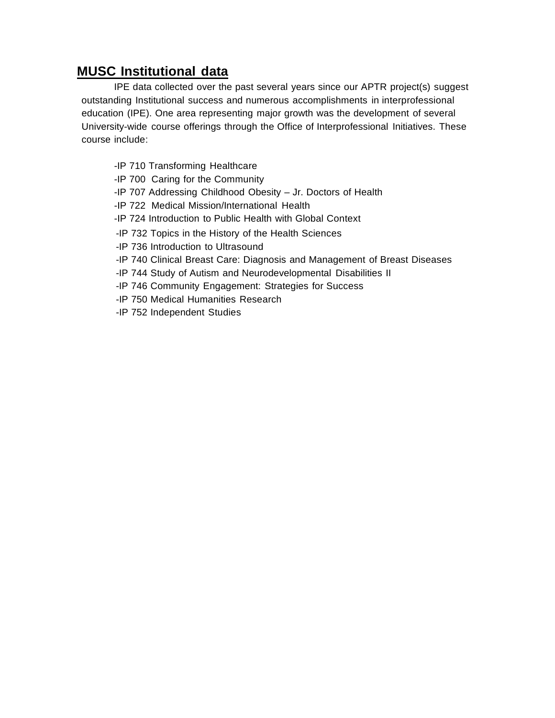## **MUSC Institutional data**

IPE data collected over the past several years since our APTR project(s) suggest outstanding Institutional success and numerous accomplishments in interprofessional education (IPE). One area representing major growth was the development of several University-wide course offerings through the Office of Interprofessional Initiatives. These course include:

- -IP 710 Transforming Healthcare
- -IP 700 Caring for the Community
- -IP 707 Addressing Childhood Obesity Jr. Doctors of Health
- -IP 722 Medical Mission/International Health
- -IP 724 Introduction to Public Health with Global Context
- -IP 732 Topics in the History of the Health Sciences
- -IP 736 Introduction to Ultrasound
- -IP 740 Clinical Breast Care: Diagnosis and Management of Breast Diseases
- -IP 744 Study of Autism and Neurodevelopmental Disabilities II
- -IP 746 Community Engagement: Strategies for Success
- -IP 750 Medical Humanities Research
- -IP 752 Independent Studies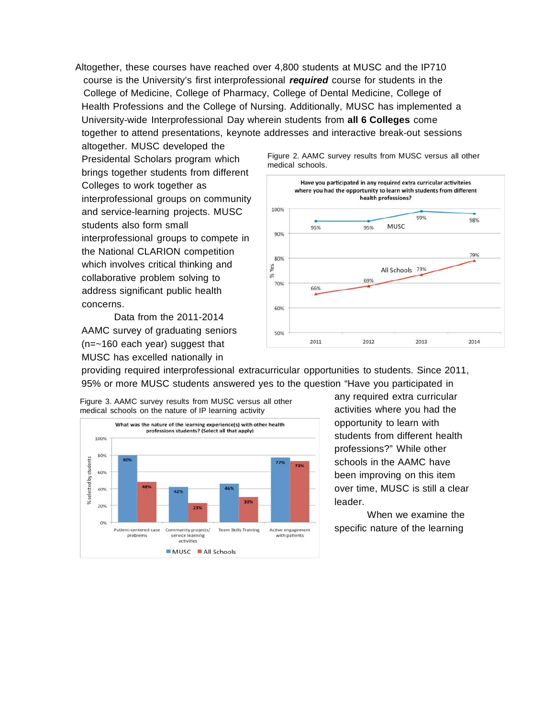Altogether, these courses have reached over 4,800 students at MUSC and the IP710 course is the University's first interprofessional *required* course for students in the College of Medicine, College of Pharmacy, College of Dental Medicine, College of Health Professions and the College of Nursing. Additionally, MUSC has implemented a University-wide Interprofessional Day wherein students from **all 6 Colleges** come together to attend presentations, keynote addresses and interactive break-out sessions

altogether. MUSC developed the Presidental Scholars program which brings together students from different Colleges to work together as interprofessional groups on community and service-learning projects. MUSC students also form small interprofessional groups to compete in the National CLARION competition which involves critical thinking and collaborative problem solving to address significant public health concerns.

Data from the 2011-2014 AAMC survey of graduating seniors (n=~160 each year) suggest that MUSC has excelled nationally in



providing required interprofessional extracurricular opportunities to students. Since 2011, 95% or more MUSC students answered yes to the question "Have you participated in



any required extra curricular activities where you had the opportunity to learn with students from different health professions?" While other schools in the AAMC have been improving on this item over time, MUSC is still a clear leader.

When we examine the specific nature of the learning

Figure 2. AAMC survey results from MUSC versus all other medical schools.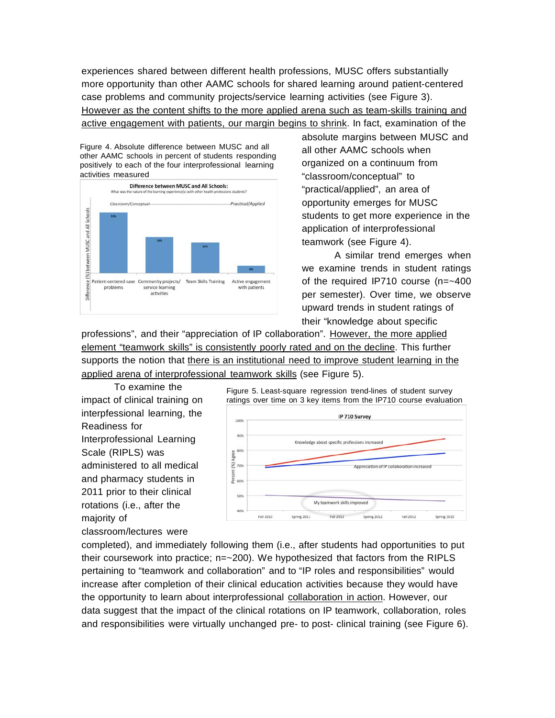experiences shared between different health professions, MUSC offers substantially more opportunity than other AAMC schools for shared learning around patient-centered case problems and community projects/service learning activities (see Figure 3). However as the content shifts to the more applied arena such as team-skills training and active engagement with patients, our margin begins to shrink. In fact, examination of the

Figure 4. Absolute difference between MUSC and all other AAMC schools in percent of students responding positively to each of the four interprofessional learning activities measured



absolute margins between MUSC and all other AAMC schools when organized on a continuum from "classroom/conceptual" to "practical/applied", an area of opportunity emerges for MUSC students to get more experience in the application of interprofessional teamwork (see Figure 4).

A similar trend emerges when we examine trends in student ratings of the required IP710 course (n=~400 per semester). Over time, we observe upward trends in student ratings of their "knowledge about specific

professions", and their "appreciation of IP collaboration". However, the more applied element "teamwork skills" is consistently poorly rated and on the decline. This further supports the notion that there is an institutional need to improve student learning in the applied arena of interprofessional teamwork skills (see Figure 5).

To examine the impact of clinical training on interpfessional learning, the Readiness for Interprofessional Learning Scale (RIPLS) was administered to all medical and pharmacy students in 2011 prior to their clinical rotations (i.e., after the majority of classroom/lectures were



completed), and immediately following them (i.e., after students had opportunities to put their coursework into practice; n=~200). We hypothesized that factors from the RIPLS pertaining to "teamwork and collaboration" and to "IP roles and responsibilities" would increase after completion of their clinical education activities because they would have the opportunity to learn about interprofessional collaboration in action. However, our data suggest that the impact of the clinical rotations on IP teamwork, collaboration, roles and responsibilities were virtually unchanged pre- to post- clinical training (see Figure 6).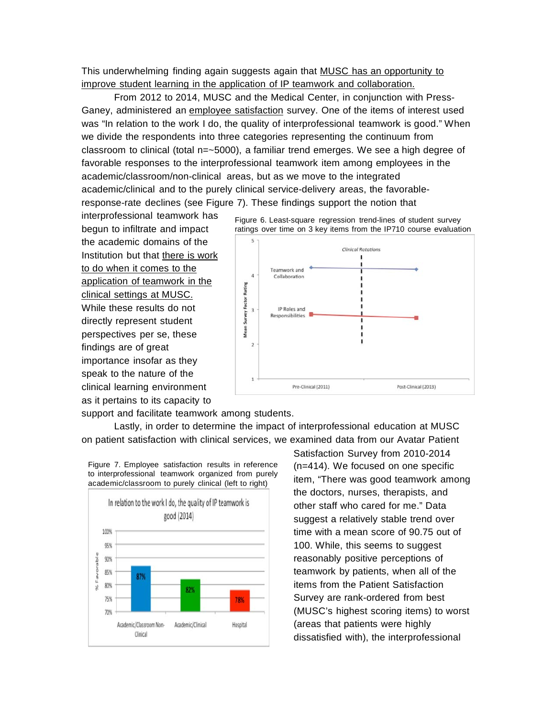This underwhelming finding again suggests again that MUSC has an opportunity to improve student learning in the application of IP teamwork and collaboration.

From 2012 to 2014, MUSC and the Medical Center, in conjunction with Press-Ganey, administered an employee satisfaction survey. One of the items of interest used was "In relation to the work I do, the quality of interprofessional teamwork is good." When we divide the respondents into three categories representing the continuum from classroom to clinical (total n=~5000), a familiar trend emerges. We see a high degree of favorable responses to the interprofessional teamwork item among employees in the academic/classroom/non-clinical areas, but as we move to the integrated academic/clinical and to the purely clinical service-delivery areas, the favorableresponse-rate declines (see Figure 7). These findings support the notion that

interprofessional teamwork has begun to infiltrate and impact the academic domains of the Institution but that there is work to do when it comes to the application of teamwork in the clinical settings at MUSC. While these results do not directly represent student perspectives per se, these findings are of great importance insofar as they speak to the nature of the clinical learning environment as it pertains to its capacity to



support and facilitate teamwork among students.

Lastly, in order to determine the impact of interprofessional education at MUSC on patient satisfaction with clinical services, we examined data from our Avatar Patient



Figure 7. Employee satisfaction results in reference to interprofessional teamwork organized from purely academic/classroom to purely clinical (left to right)

Satisfaction Survey from 2010-2014 (n=414). We focused on one specific item, "There was good teamwork among the doctors, nurses, therapists, and other staff who cared for me." Data suggest a relatively stable trend over time with a mean score of 90.75 out of 100. While, this seems to suggest reasonably positive perceptions of teamwork by patients, when all of the items from the Patient Satisfaction Survey are rank-ordered from best (MUSC's highest scoring items) to worst (areas that patients were highly dissatisfied with), the interprofessional